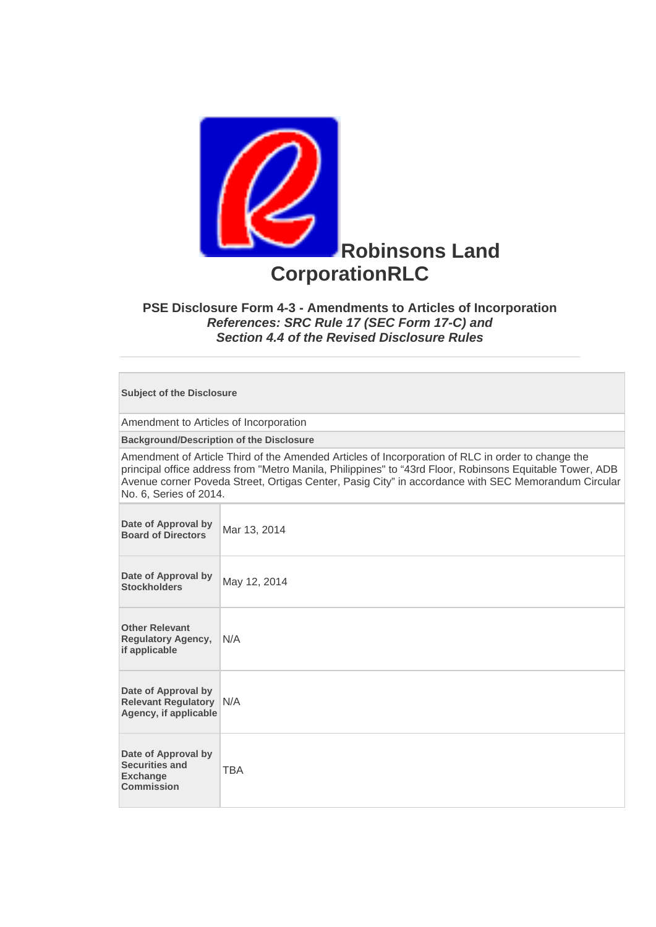

## **PSE Disclosure Form 4-3 - Amendments to Articles of Incorporation**  *References: SRC Rule 17 (SEC Form 17-C) and Section 4.4 of the Revised Disclosure Rules*

**Subject of the Disclosure** 

Amendment to Articles of Incorporation

**Background/Description of the Disclosure**

Amendment of Article Third of the Amended Articles of Incorporation of RLC in order to change the principal office address from "Metro Manila, Philippines" to "43rd Floor, Robinsons Equitable Tower, ADB Avenue corner Poveda Street, Ortigas Center, Pasig City" in accordance with SEC Memorandum Circular No. 6, Series of 2014.

| Date of Approval by<br><b>Board of Directors</b>                                     | Mar 13, 2014 |
|--------------------------------------------------------------------------------------|--------------|
| Date of Approval by<br><b>Stockholders</b>                                           | May 12, 2014 |
| <b>Other Relevant</b><br><b>Regulatory Agency,</b><br>if applicable                  | N/A          |
| Date of Approval by<br><b>Relevant Regulatory N/A</b><br>Agency, if applicable       |              |
| Date of Approval by<br><b>Securities and</b><br><b>Exchange</b><br><b>Commission</b> | <b>TBA</b>   |